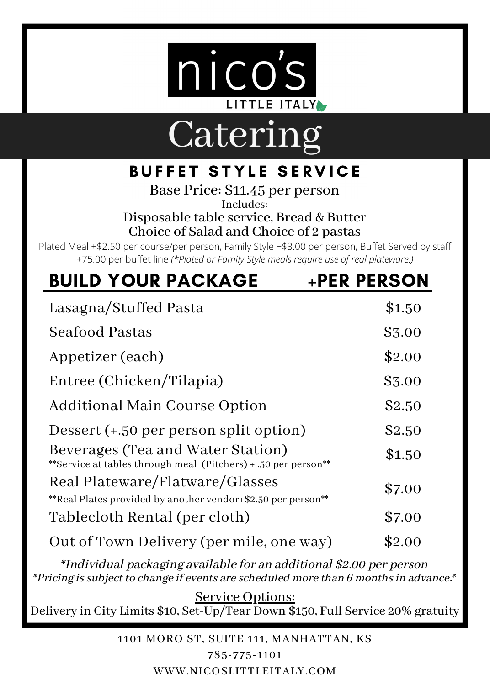

## Catering

### **BUFFET STYLE SERVICE**

Base Price: \$11.45 per person Includes: Disposable table service, Bread & Butter Choice of Salad and Choice of 2 pastas

Plated Meal +\$2.50 per course/per person, Family Style +\$3.00 per person, Buffet Served by staff +75.00 per buffet line *(\*Plated or Family Style meals require use of real plateware.)*

| <b>BUILD YOUR PACKAGE</b>                                                                           | <b>+PER PERSON</b> |
|-----------------------------------------------------------------------------------------------------|--------------------|
| Lasagna/Stuffed Pasta                                                                               | \$1.50             |
| Seafood Pastas                                                                                      | \$3.00             |
| Appetizer (each)                                                                                    | \$2.00             |
| Entree (Chicken/Tilapia)                                                                            | \$3.00             |
| Additional Main Course Option                                                                       | \$2.50             |
| Dessert (+.50 per person split option)                                                              | \$2.50             |
| Beverages (Tea and Water Station)<br>**Service at tables through meal (Pitchers) + .50 per person** | \$1.50             |
| Real Plateware/Flatware/Glasses<br>**Real Plates provided by another vendor+\$2.50 per person**     | \$7.00             |
| Tablecloth Rental (per cloth)                                                                       | \$7.00             |
| Out of Town Delivery (per mile, one way)                                                            | \$2.00             |

\*Individual packaging available for an additional \$2.00 per person \*Pricing is subject to change if events are scheduled more than 6 months in advance.\*

Service Options:<br>Delivery in City Limits \$10, Set-Up/Tear Down \$150, Full Service 20% gratuity

1101 MORO ST, SUITE 111, MANHATTAN, KS 785-775-1101

WWW.NICOSLITTLEITALY.COM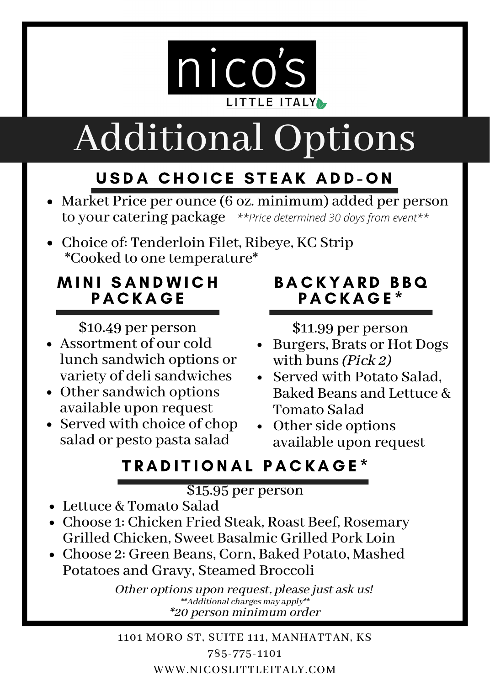

# Additional Options

### USDA CHOICE STEAK ADD-ON

- Market Price per ounce (6 oz. minimum) added per person to your catering package *\*\*Price determined 30 days from event\*\**
- Choice of: Tenderloin Filet, Ribeye, KC Strip \*Cooked to one temperature\*

### MINI SANDWICH **PACKAGE**

\$10.49 per person

- Assortment of our cold lunch sandwich options or variety of delisandwiches
- Other sandwich options available upon request
- Served with choice of chop salad or pesto pasta salad

### BACKYARD BBQ P A C K A G E \*

\$11.99 per person

- Burgers, Brats or Hot Dogs with buns (*Pick 2*)
- Served with Potato Salad. Baked Beans and Lettuce & Tomato Salad
- Other side options available upon request

### TRADITIONAL PACKAGE\*

#### \$15.95 per person

- Lettuce & Tomato Salad
- Choose 1: Chicken Fried Steak, Roast Beef, Rosemary Grilled Chicken, Sweet Basalmic Grilled Pork Loin
- Choose 2: Green Beans, Corn, Baked Potato, Mashed Potatoes and Gravy, Steamed Broccoli

Other options upon request, please just ask us! \*\*Additional charges may apply\*\* \*20 person minimum order

1101 MORO ST, SUITE 111, MANHATTAN, KS 785-775-1101 WWW.NICOSLITTLEITALY.COM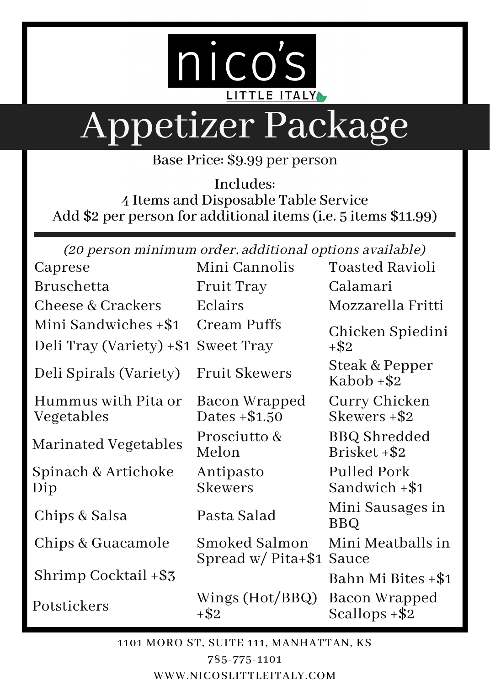

# Appetizer Package

Base Price: \$9.99 per person

Includes: 4 Items and Disposable Table Service Add \$2 per person for additional items (i.e. 5 items \$11.99)

(20 person minimum order, additional options available)

| Caprese                             | Mini Cannolis                        | Toasted Ravioli                     |
|-------------------------------------|--------------------------------------|-------------------------------------|
| Bruschetta                          | Fruit Tray                           | Calamari                            |
| Cheese & Crackers                   | Eclairs                              | Mozzarella Fritti                   |
| Mini Sandwiches +\$1                | Cream Puffs                          | Chicken Spiedini                    |
| Deli Tray (Variety) +\$1 Sweet Tray |                                      | $+$ \$2                             |
| Deli Spirals (Variety)              | <b>Fruit Skewers</b>                 | Steak & Pepper<br>Kabob +\$2        |
| Hummus with Pita or                 | Bacon Wrapped                        | Curry Chicken                       |
| Vegetables                          | Dates +\$1.50                        | Skewers +\$2                        |
| Marinated Vegetables                | Prosciutto &<br>Melon                | <b>BBQ</b> Shredded<br>Brisket +\$2 |
| Spinach & Artichoke                 | Antipasto                            | Pulled Pork                         |
| Dip                                 | Skewers                              | Sandwich +\$1                       |
| Chips & Salsa                       | Pasta Salad                          | Mini Sausages in<br>BBQ             |
| Chips & Guacamole                   | Smoked Salmon<br>Spread $w/Pita+\$1$ | Mini Meatballs in<br>Sauce          |
| Shrimp Cocktail +\$3                |                                      | Bahn Mi Bites +\$1                  |
| Potstickers                         | Wings (Hot/BBQ)<br>+\$2              | Bacon Wrapped<br>Scallops +\$2      |

1101 MORO ST, SUITE 111, MANHATTAN, KS 785-775-1101

WWW.NICOSLITTLEITALY.COM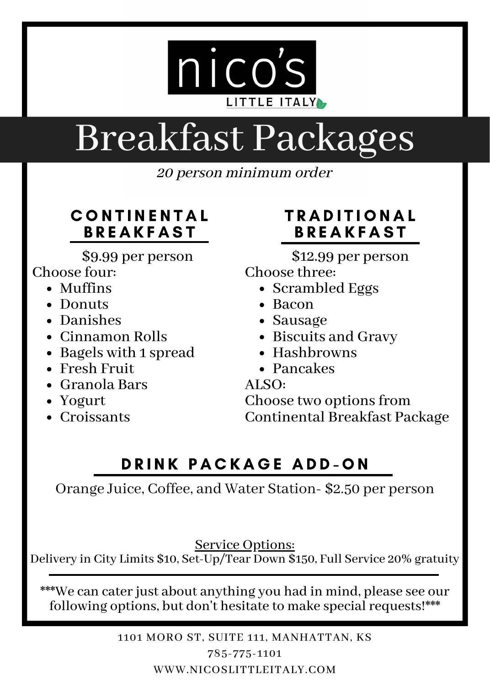

## Breakfast Packages

20 person minimum order

#### **CONTINENTAL BREAKFAST**

\$9.99 per person

#### Choose four:

- Muffins
- Donuts
- Danishes
- Cinnamon Rolls
- Bagels with 1 spread
- Fresh Fruit
- Granola Bars
- Yogurt
- Croissants

### **TRADITIONAL BREAKFAST**

\$12.99 per person

Choose three:

- Scrambled Eggs
- Bacon
- Sausage
- Biscuits and Gravy
- $\bullet$  Hashbrowns
	- Pancakes<br>ALSO:

Choose two options from Continental Breakfast Package

### DRINK PACKAGE ADD-ON

Orange Juice, Coffee, and Water Station- \$2.50 per person

Service Options:<br>Delivery in City Limits \$10, Set-Up/Tear Down \$150, Full Service 20% gratuity

\*\*\*We can caterjust about anything you had in mind, please see our following options, but don't hesitate to make special requests!\*\*\*

> 1101 MORO ST, SUITE 111, MANHATTAN, KS 785-775-1101 WWW.NICOSLITTLEITALY.COM